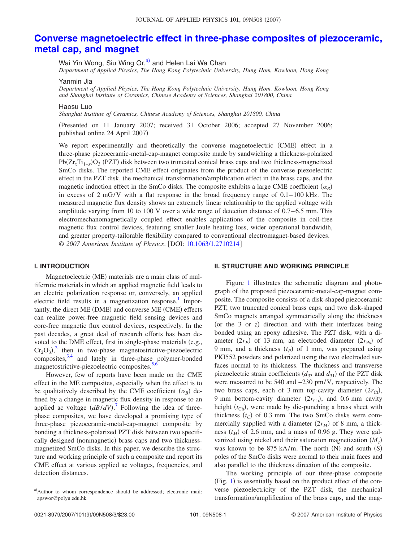# **[Converse magnetoelectric effect in three-phase composites of piezoceramic,](http://dx.doi.org/10.1063/1.2710214) [metal cap, and magnet](http://dx.doi.org/10.1063/1.2710214)**

Wai Yin Wong, Siu Wing Or,<sup>a)</sup> and Helen Lai Wa Chan

*Department of Applied Physics, The Hong Kong Polytechnic University, Hung Hom, Kowloon, Hong Kong*

Yanmin Jia

*Department of Applied Physics, The Hong Kong Polytechnic University, Hung Hom, Kowloon, Hong Kong and Shanghai Institute of Ceramics, Chinese Academy of Sciences, Shanghai 201800, China*

#### Haosu Luo

*Shanghai Institute of Ceramics, Chinese Academy of Sciences, Shanghai 201800, China*

Presented on 11 January 2007; received 31 October 2006; accepted 27 November 2006; published online 24 April 2007)

We report experimentally and theoretically the converse magnetoelectric (CME) effect in a three-phase piezoceramic-metal-cap-magnet composite made by sandwiching a thickness-polarized Pb( $Zr_xTi_{1-x}$ )O<sub>3</sub> (PZT) disk between two truncated conical brass caps and two thickness-magnetized SmCo disks. The reported CME effect originates from the product of the converse piezoelectric effect in the PZT disk, the mechanical transformation/amplification effect in the brass caps, and the magnetic induction effect in the SmCo disks. The composite exhibits a large CME coefficient  $(\alpha_B)$ in excess of  $2 \text{ mG/V}$  with a flat response in the broad frequency range of  $0.1-100 \text{ kHz}$ . The measured magnetic flux density shows an extremely linear relationship to the applied voltage with amplitude varying from 10 to 100 V over a wide range of detection distance of 0.7–6.5 mm. This electromechanomagnetically coupled effect enables applications of the composite in coil-free magnetic flux control devices, featuring smaller Joule heating loss, wider operational bandwidth, and greater property-tailorable flexibility compared to conventional electromagnet-based devices. © *2007 American Institute of Physics*. DOI: [10.1063/1.2710214](http://dx.doi.org/10.1063/1.2710214)

## **I. INTRODUCTION**

Magnetoelectric (ME) materials are a main class of multiferroic materials in which an applied magnetic field leads to an electric polarization response or, conversely, an applied electric field results in a magnetization response.<sup>1</sup> Importantly, the direct ME (DME) and converse ME (CME) effects can realize power-free magnetic field sensing devices and core-free magnetic flux control devices, respectively. In the past decades, a great deal of research efforts has been devoted to the DME effect, first in single-phase materials (e.g.,  $Cr_2O_3$ ,<sup>2</sup> then in two-phase magnetostrictive-piezoelectric composites, $3,4$  and lately in three-phase polymer-bonded magnetostrictive-piezoelectric composites.<sup>5</sup>

However, few of reports have been made on the CME effect in the ME composites, especially when the effect is to be qualitatively described by the CME coefficient  $(\alpha_B)$  defined by a change in magnetic flux density in response to an applied ac voltage  $\left(dB/dV\right)^{7}$  Following the idea of threephase composites, we have developed a promising type of three-phase piezoceramic-metal-cap-magnet composite by bonding a thickness-polarized PZT disk between two specifically designed (nonmagnetic) brass caps and two thicknessmagnetized SmCo disks. In this paper, we describe the structure and working principle of such a composite and report its CME effect at various applied ac voltages, frequencies, and detection distances.

#### **II. STRUCTURE AND WORKING PRINCIPLE**

Figure 1 illustrates the schematic diagram and photograph of the proposed piezoceramic-metal-cap-magnet composite. The composite consists of a disk-shaped piezoceramic PZT, two truncated conical brass caps, and two disk-shaped SmCo magnets arranged symmetrically along the thickness (or the  $3$  or  $z$ ) direction and with their interfaces being bonded using an epoxy adhesive. The PZT disk, with a diameter  $(2r<sub>P</sub>)$  of 13 mm, an electroded diameter  $(2r<sub>Ps</sub>)$  of 9 mm, and a thickness  $(t_P)$  of 1 mm, was prepared using PKI552 powders and polarized using the two electroded surfaces normal to its thickness. The thickness and transverse piezoelectric strain coefficients  $(d_{33} \text{ and } d_{31})$  of the PZT disk were measured to be 540 and −230 pm/V, respectively. The two brass caps, each of 3 mm top-cavity diameter  $(2r_{Ct})$ , 9 mm bottom-cavity diameter  $(2r_{\text{Cb}})$ , and 0.6 mm cavity height  $(t_{\text{Ch}})$ , were made by die-punching a brass sheet with thickness  $(t_C)$  of 0.3 mm. The two SmCo disks were commercially supplied with a diameter  $(2r_M)$  of 8 mm, a thickness  $(t_M)$  of 2.6 mm, and a mass of 0.96 g. They were galvanized using nickel and their saturation magnetization *Ms* was known to be  $875 \text{ kA/m}$ . The north (N) and south (S) poles of the SmCo disks were normal to their main faces and also parallel to the thickness direction of the composite.

The working principle of our three-phase composite (Fig. 1) is essentially based on the product effect of the converse piezoelectricity of the PZT disk, the mechanical transformation/amplification of the brass caps, and the mag-

a)Author to whom correspondence should be addressed; electronic mail: apswor@polyu.edu.hk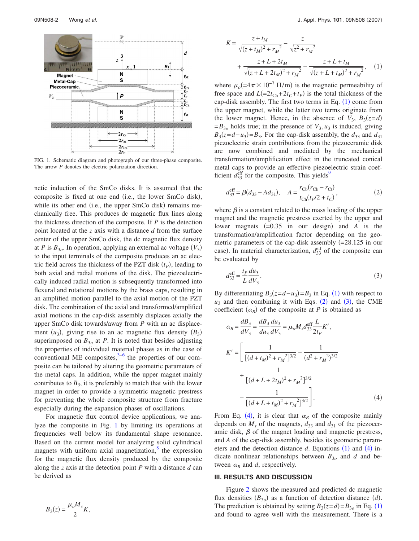

FIG. 1. Schematic diagram and photograph of our three-phase composite. The arrow *P* denotes the electric polarization direction.

netic induction of the SmCo disks. It is assumed that the composite is fixed at one end (i.e., the lower SmCo disk), while its other end (i.e., the upper SmCo disk) remains mechanically free. This produces dc magnetic flux lines along the thickness direction of the composite. If *P* is the detection point located at the *z* axis with a distance *d* from the surface center of the upper SmCo disk, the dc magnetic flux density at *P* is  $B_{3o}$ . In operation, applying an external ac voltage  $(V_3)$ to the input terminals of the composite produces an ac electric field across the thickness of the PZT disk  $(t<sub>P</sub>)$ , leading to both axial and radial motions of the disk. The piezoelectrically induced radial motion is subsequently transformed into flexural and rotational motions by the brass caps, resulting in an amplified motion parallel to the axial motion of the PZT disk. The combination of the axial and transformed/amplified axial motions in the cap-disk assembly displaces axially the upper SmCo disk towards/away from *P* with an ac displacement  $(u_3)$ , giving rise to an ac magnetic flux density  $(B_3)$ superimposed on  $B_{3*o*}$  at *P*. It is noted that besides adjusting the properties of individual material phases as in the case of conventional ME composites, $3-6$  the properties of our composite can be tailored by altering the geometric parameters of the metal caps. In addition, while the upper magnet mainly contributes to  $B_3$ , it is preferably to match that with the lower magnet in order to provide a symmetric magnetic prestress for preventing the whole composite structure from fracture especially during the expansion phases of oscillations.

For magnetic flux control device applications, we analyze the composite in Fig. 1 by limiting its operations at frequencies well below its fundamental shape resonance. Based on the current model for analyzing solid cylindrical magnets with uniform axial magnetization, $\delta$  the expression for the magnetic flux density produced by the composite along the *z* axis at the detection point *P* with a distance *d* can be derived as

$$
B_3(z) = \frac{\mu_o M_s}{2} K,
$$

$$
K = \frac{z + t_M}{\sqrt{(z + t_M)^2 + r_M^2}} - \frac{z}{\sqrt{z^2 + r_M^2}}
$$
  
+ 
$$
\frac{z + L + 2t_M}{\sqrt{(z + L + 2t_M)^2 + r_M^2}} - \frac{z + L + t_M}{\sqrt{(z + L + t_M)^2 + r_M^2}},
$$
(1)

where  $\mu_o(=4\pi \times 10^{-7} \text{ H/m})$  is the magnetic permeability of free space and  $L(=2t_{Ch}+2t_C+t_P)$  is the total thickness of the cap-disk assembly. The first two terms in Eq.  $(1)$  come from the upper magnet, while the latter two terms originate from the lower magnet. Hence, in the absence of  $V_3$ ,  $B_3(z=d)$  $=B_{3*o*}$  holds true; in the presence of  $V_3, u_3$  is induced, giving  $B_3(z=d-u_3) = B_3$ . For the cap-disk assembly, the  $d_{33}$  and  $d_{31}$ piezoelectric strain contributions from the piezoceramic disk are now combined and mediated by the mechanical transformation/amplification effect in the truncated conical metal caps to provide an effective piezoelectric strain coefficient  $d_{33}^{\text{eff}}$  for the composite. This yields<sup>9</sup>

$$
d_{33}^{\text{eff}} = \beta(d_{33} - Ad_{31}), \quad A = \frac{r_{\text{Cb}}(r_{\text{Cb}} - r_{\text{C}t})}{t_{\text{Ch}}(t_P/2 + t_C)},\tag{2}
$$

where  $\beta$  is a constant related to the mass loading of the upper magnet and the magnetic prestress exerted by the upper and lower magnets  $(=0.35$  in our design) and *A* is the transformation/amplification factor depending on the geometric parameters of the cap-disk assembly  $(=28.125)$  in our case). In material characterization,  $d_{33}^{\text{eff}}$  of the composite can be evaluated by

$$
d_{33}^{\text{eff}} = \frac{t_P}{L} \frac{du_3}{dV_3}.
$$
\n(3)

By differentiating  $B_3(z=d-u_3)=B_3$  in Eq. (1) with respect to  $u_3$  and then combining it with Eqs. (2) and (3), the CME coefficient  $(\alpha_B)$  of the composite at *P* is obtained as

$$
\alpha_B = \frac{dB_3}{dV_3} = \frac{dB_3}{du_3} \frac{du_3}{dV_3} = \mu_o M_s d_{33}^{\text{eff}} \frac{L}{2t_P} K',
$$
  
\n
$$
K' = \left[ \frac{1}{[(d+t_M)^2 + r_M^2]^{3/2}} - \frac{1}{(d^2 + r_M^2)^{3/2}} + \frac{1}{[(d+L+2t_M)^2 + r_M^2]^{3/2}} - \frac{1}{[(d+L+t_M)^2 + r_M^2]^{3/2}} \right].
$$
\n(4)

From Eq. (4), it is clear that  $\alpha_B$  of the composite mainly depends on  $M_s$  of the magnets,  $d_{33}$  and  $d_{31}$  of the piezoceramic disk,  $\beta$  of the magnet loading and magnetic prestress, and *A* of the cap-disk assembly, besides its geometric parameters and the detection distance  $d$ . Equations  $(1)$  and  $(4)$  indicate nonlinear relationships between  $B_{3*o*}$  and  $d$  and between  $\alpha_B$  and *d*, respectively.

#### **III. RESULTS AND DISCUSSION**

Figure 2 shows the measured and predicted dc magnetic flux densities  $(B_{3o})$  as a function of detection distance  $(d)$ . The prediction is obtained by setting  $B_3(z=d) = B_{30}$  in Eq. (1) and found to agree well with the measurement. There is a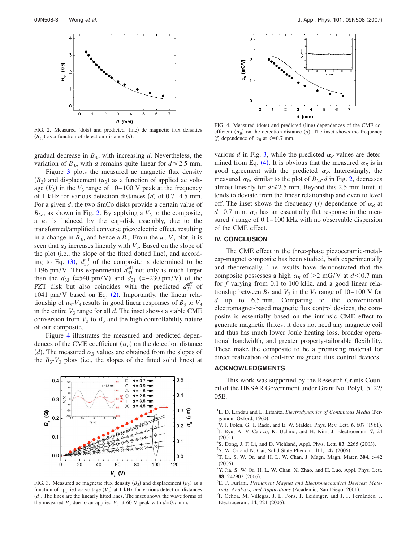

FIG. 2. Measured (dots) and predicted (line) dc magnetic flux densities  $(B_{3o})$  as a function of detection distance *(d)*.

gradual decrease in  $B_{3*o*}$  with increasing *d*. Nevertheless, the variation of  $B_{3o}$  with *d* remains quite linear for  $d \le 2.5$  mm.

Figure 3 plots the measured ac magnetic flux density  $(B_3)$  and displacement  $(u_3)$  as a function of applied ac voltage  $(V_3)$  in the  $V_3$  range of 10–100 V peak at the frequency of 1 kHz for various detection distances  $(d)$  of 0.7–4.5 mm. For a given *d*, the two SmCo disks provide a certain value of  $B_{3*o*$ , as shown in Fig. 2. By applying a  $V_3$  to the composite, a  $u_3$  is induced by the cap-disk assembly, due to the transformed/amplified converse piezoelectric effect, resulting in a change in  $B_{3o}$  and hence a  $B_3$ . From the  $u_3$ - $V_3$  plot, it is seen that  $u_3$  increases linearly with  $V_3$ . Based on the slope of the plot (i.e., the slope of the fitted dotted line), and according to Eq. (3),  $d_{33}^{\text{eff}}$  of the composite is determined to be 1196 pm/V. This experimental  $d_{33}^{\text{eff}}$  not only is much larger than the  $d_{33}$  (=540 pm/V) and  $d_{31}$  (=−230 pm/V) of the PZT disk but also coincides with the predicted  $d_{33}^{\text{eff}}$  of  $1041$  pm/V based on Eq.  $(2)$ . Importantly, the linear relationship of  $u_3$ - $V_3$  results in good linear responses of  $B_3$  to  $V_3$ in the entire  $V_3$  range for all  $d$ . The inset shows a stable CME conversion from  $V_3$  to  $B_3$  and the high controllability nature of our composite.

Figure 4 illustrates the measured and predicted dependences of the CME coefficient  $(\alpha_B)$  on the detection distance (*d*). The measured  $\alpha_B$  values are obtained from the slopes of the  $B_3$ - $V_3$  plots (i.e., the slopes of the fitted solid lines) at



FIG. 3. Measured ac magnetic flux density  $(B_3)$  and displacement  $(u_3)$  as a function of applied ac voltage  $(V_3)$  at 1 kHz for various detection distances (d). The lines are the linearly fitted lines. The inset shows the wave forms of the measured  $B_3$  due to an applied  $V_3$  at 60 V peak with  $d=0.7$  mm.



FIG. 4. Measured (dots) and predicted (line) dependences of the CME coefficient  $(a_B)$  on the detection distance  $(d)$ . The inset shows the frequency *(f)* dependence of  $\alpha_B$  at  $d=0.7$  mm.

various *d* in Fig. 3, while the predicted  $\alpha_B$  values are determined from Eq. (4). It is obvious that the measured  $\alpha_B$  is in good agreement with the predicted  $\alpha_B$ . Interestingly, the measured  $\alpha_B$ , similar to the plot of  $B_{3o}$ -*d* in Fig. 2, decreases almost linearly for  $d \le 2.5$  mm. Beyond this 2.5 mm limit, it tends to deviate from the linear relationship and even to level off. The inset shows the frequency  $(f)$  dependence of  $\alpha_B$  at  $d=0.7$  mm.  $\alpha_B$  has an essentially flat response in the measured *f* range of 0.1–100 kHz with no observable dispersion of the CME effect.

## **IV. CONCLUSION**

The CME effect in the three-phase piezoceramic-metalcap-magnet composite has been studied, both experimentally and theoretically. The results have demonstrated that the composite possesses a high  $\alpha_B$  of  $\geq 2$  mG/V at  $d \leq 0.7$  mm for *f* varying from 0.1 to 100 kHz, and a good linear relationship between  $B_3$  and  $V_3$  in the  $V_3$  range of 10–100 V for *d* up to 6.5 mm. Comparing to the conventional electromagnet-based magnetic flux control devices, the composite is essentially based on the intrinsic CME effect to generate magnetic fluxes; it does not need any magnetic coil and thus has much lower Joule heating loss, broader operational bandwidth, and greater property-tailorable flexibility. These make the composite to be a promising material for direct realization of coil-free magnetic flux control devices.

# **ACKNOWLEDGMENTS**

This work was supported by the Research Grants Council of the HKSAR Government under Grant No. PolyU 5122/ 05E.

- <sup>1</sup>L. D. Landau and E. Lifshitz, *Electrodynamics of Continuous Media* (Pergamon, Oxford, 1960).<br><sup>2</sup>V<sub>L</sub> Eolen, G. T. Bado.
- <sup>2</sup>V. J. Folen, G. T. Rado, and E. W. Stalder, Phys. Rev. Lett. **6**, 607 (1961).
- <sup>3</sup>J. Ryu, A. V. Carazo, K. Uchino, and H. Kim, J. Electroceram. 7, 24  $^{(2001)}_{\text{4g}}$
- <sup>4</sup>S. Dong, J. F. Li, and D. Viehland, Appl. Phys. Lett. **83**, 2265 (2003).
- ${}^{5}S$ . W. Or and N. Cai, Solid State Phenom. **111**, 147 (2006).
- T. Li, S. W. Or, and H. L. W. Chan, J. Magn. Magn. Mater. **304**, e442  $(2006).$ . <sup>7</sup> Y. Jia, S. W. Or, H. L. W. Chan, X. Zhao, and H. Luo, Appl. Phys. Lett.
- 88, 242902 (2006).
- E. P. Furlani, *Permanent Magnet and Electromechanical Devices: Materials, Analysis, and Applications* (Academic, San Diego, 2001).
- <sup>9</sup>P. Ochoa, M. Villegas, J. L. Pons, P. Leidinger, and J. F. Fernández, J. Electroceram. **14**, 221 (2005).